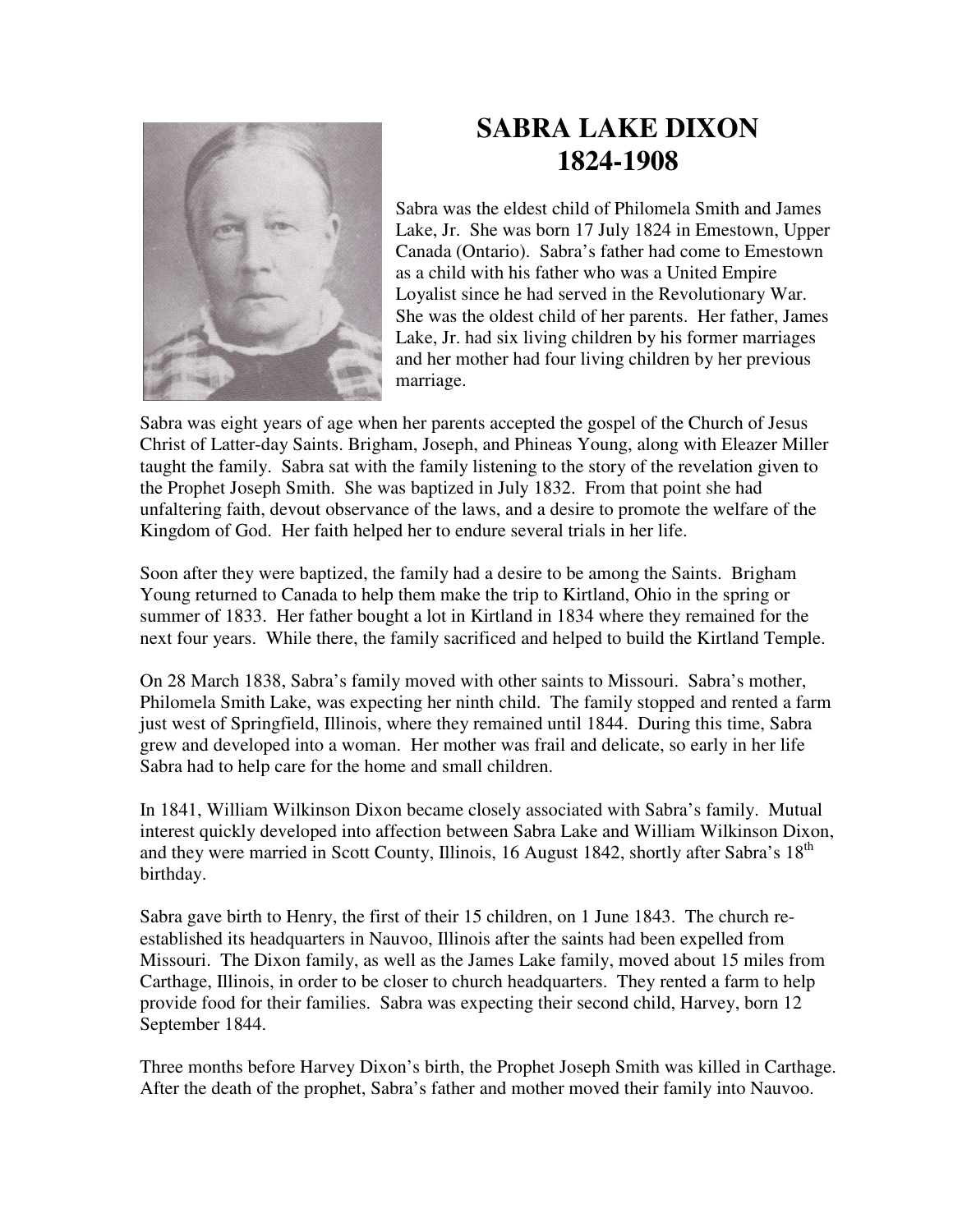

## **SABRA LAKE DIXON 1824-1908**

Sabra was the eldest child of Philomela Smith and James Lake, Jr. She was born 17 July 1824 in Emestown, Upper Canada (Ontario). Sabra's father had come to Emestown as a child with his father who was a United Empire Loyalist since he had served in the Revolutionary War. She was the oldest child of her parents. Her father, James Lake, Jr. had six living children by his former marriages and her mother had four living children by her previous marriage.

Sabra was eight years of age when her parents accepted the gospel of the Church of Jesus Christ of Latter-day Saints. Brigham, Joseph, and Phineas Young, along with Eleazer Miller taught the family. Sabra sat with the family listening to the story of the revelation given to the Prophet Joseph Smith. She was baptized in July 1832. From that point she had unfaltering faith, devout observance of the laws, and a desire to promote the welfare of the Kingdom of God. Her faith helped her to endure several trials in her life.

Soon after they were baptized, the family had a desire to be among the Saints. Brigham Young returned to Canada to help them make the trip to Kirtland, Ohio in the spring or summer of 1833. Her father bought a lot in Kirtland in 1834 where they remained for the next four years. While there, the family sacrificed and helped to build the Kirtland Temple.

On 28 March 1838, Sabra's family moved with other saints to Missouri. Sabra's mother, Philomela Smith Lake, was expecting her ninth child. The family stopped and rented a farm just west of Springfield, Illinois, where they remained until 1844. During this time, Sabra grew and developed into a woman. Her mother was frail and delicate, so early in her life Sabra had to help care for the home and small children.

In 1841, William Wilkinson Dixon became closely associated with Sabra's family. Mutual interest quickly developed into affection between Sabra Lake and William Wilkinson Dixon, and they were married in Scott County, Illinois, 16 August 1842, shortly after Sabra's 18<sup>th</sup> birthday.

Sabra gave birth to Henry, the first of their 15 children, on 1 June 1843. The church reestablished its headquarters in Nauvoo, Illinois after the saints had been expelled from Missouri. The Dixon family, as well as the James Lake family, moved about 15 miles from Carthage, Illinois, in order to be closer to church headquarters. They rented a farm to help provide food for their families. Sabra was expecting their second child, Harvey, born 12 September 1844.

Three months before Harvey Dixon's birth, the Prophet Joseph Smith was killed in Carthage. After the death of the prophet, Sabra's father and mother moved their family into Nauvoo.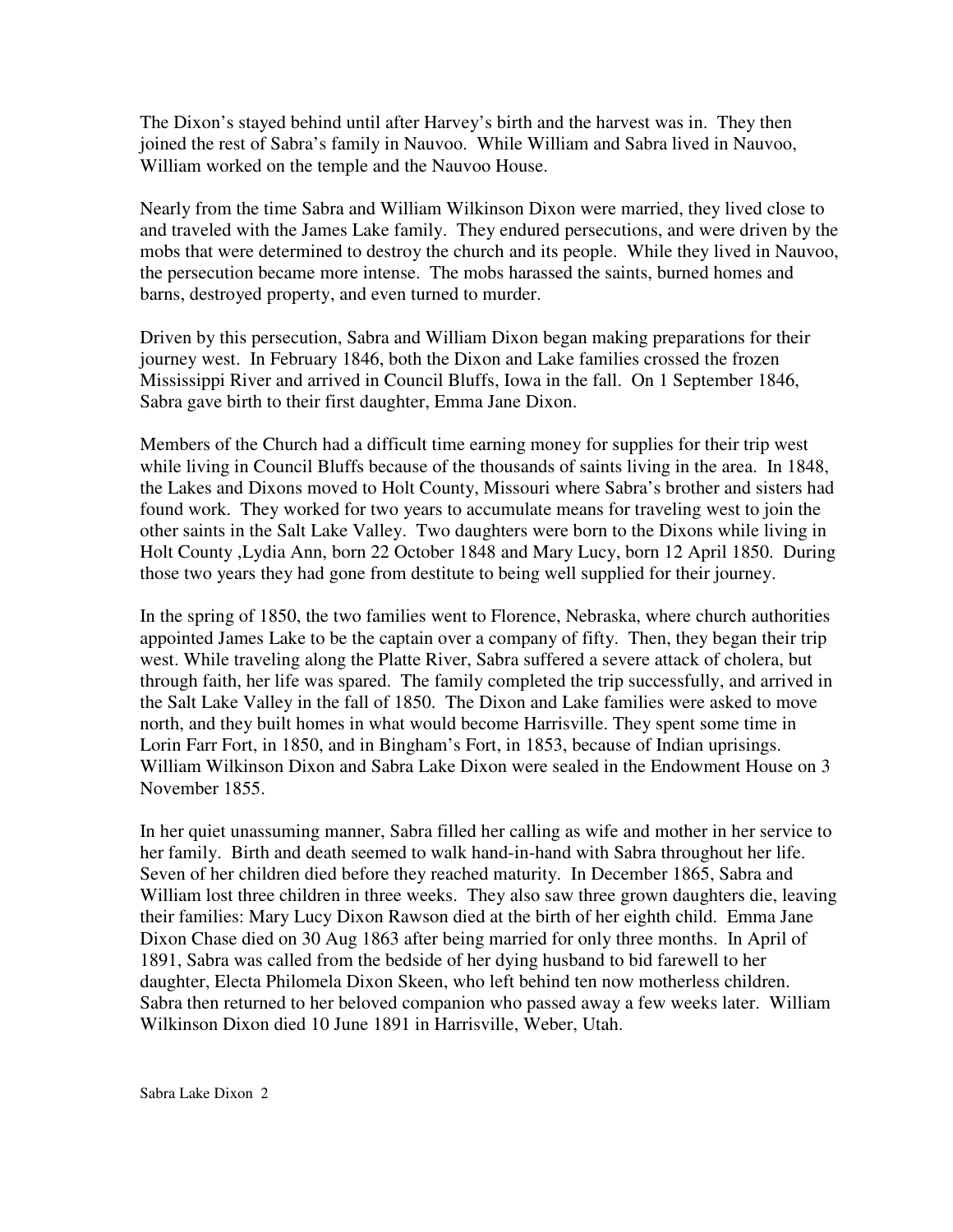The Dixon's stayed behind until after Harvey's birth and the harvest was in. They then joined the rest of Sabra's family in Nauvoo. While William and Sabra lived in Nauvoo, William worked on the temple and the Nauvoo House.

Nearly from the time Sabra and William Wilkinson Dixon were married, they lived close to and traveled with the James Lake family. They endured persecutions, and were driven by the mobs that were determined to destroy the church and its people. While they lived in Nauvoo, the persecution became more intense. The mobs harassed the saints, burned homes and barns, destroyed property, and even turned to murder.

Driven by this persecution, Sabra and William Dixon began making preparations for their journey west. In February 1846, both the Dixon and Lake families crossed the frozen Mississippi River and arrived in Council Bluffs, Iowa in the fall. On 1 September 1846, Sabra gave birth to their first daughter, Emma Jane Dixon.

Members of the Church had a difficult time earning money for supplies for their trip west while living in Council Bluffs because of the thousands of saints living in the area. In 1848, the Lakes and Dixons moved to Holt County, Missouri where Sabra's brother and sisters had found work. They worked for two years to accumulate means for traveling west to join the other saints in the Salt Lake Valley. Two daughters were born to the Dixons while living in Holt County ,Lydia Ann, born 22 October 1848 and Mary Lucy, born 12 April 1850. During those two years they had gone from destitute to being well supplied for their journey.

In the spring of 1850, the two families went to Florence, Nebraska, where church authorities appointed James Lake to be the captain over a company of fifty. Then, they began their trip west. While traveling along the Platte River, Sabra suffered a severe attack of cholera, but through faith, her life was spared. The family completed the trip successfully, and arrived in the Salt Lake Valley in the fall of 1850. The Dixon and Lake families were asked to move north, and they built homes in what would become Harrisville. They spent some time in Lorin Farr Fort, in 1850, and in Bingham's Fort, in 1853, because of Indian uprisings. William Wilkinson Dixon and Sabra Lake Dixon were sealed in the Endowment House on 3 November 1855.

In her quiet unassuming manner, Sabra filled her calling as wife and mother in her service to her family. Birth and death seemed to walk hand-in-hand with Sabra throughout her life. Seven of her children died before they reached maturity. In December 1865, Sabra and William lost three children in three weeks. They also saw three grown daughters die, leaving their families: Mary Lucy Dixon Rawson died at the birth of her eighth child. Emma Jane Dixon Chase died on 30 Aug 1863 after being married for only three months. In April of 1891, Sabra was called from the bedside of her dying husband to bid farewell to her daughter, Electa Philomela Dixon Skeen, who left behind ten now motherless children. Sabra then returned to her beloved companion who passed away a few weeks later. William Wilkinson Dixon died 10 June 1891 in Harrisville, Weber, Utah.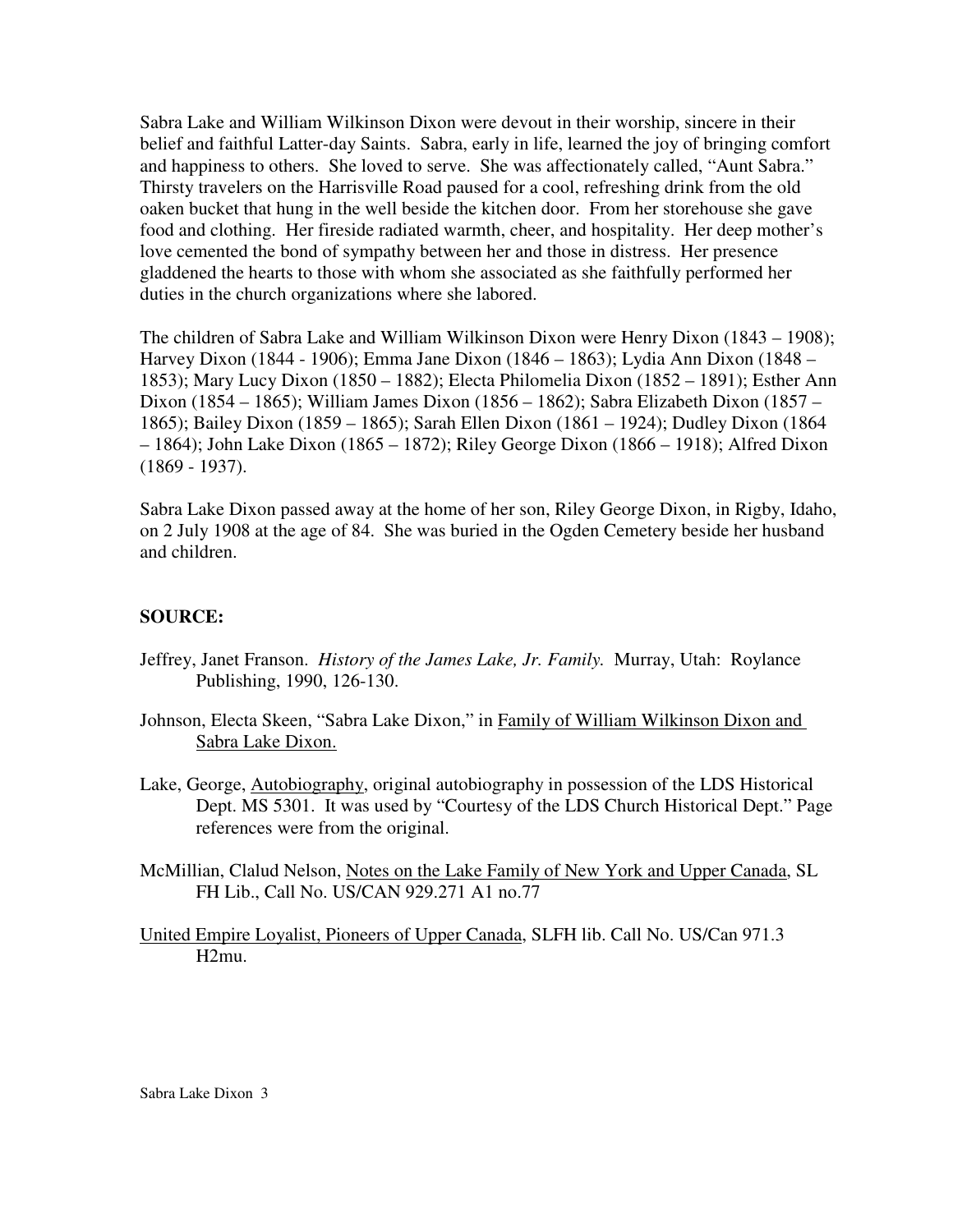Sabra Lake and William Wilkinson Dixon were devout in their worship, sincere in their belief and faithful Latter-day Saints. Sabra, early in life, learned the joy of bringing comfort and happiness to others. She loved to serve. She was affectionately called, "Aunt Sabra." Thirsty travelers on the Harrisville Road paused for a cool, refreshing drink from the old oaken bucket that hung in the well beside the kitchen door. From her storehouse she gave food and clothing. Her fireside radiated warmth, cheer, and hospitality. Her deep mother's love cemented the bond of sympathy between her and those in distress. Her presence gladdened the hearts to those with whom she associated as she faithfully performed her duties in the church organizations where she labored.

The children of Sabra Lake and William Wilkinson Dixon were Henry Dixon (1843 – 1908); Harvey Dixon (1844 - 1906); Emma Jane Dixon (1846 – 1863); Lydia Ann Dixon (1848 – 1853); Mary Lucy Dixon (1850 – 1882); Electa Philomelia Dixon (1852 – 1891); Esther Ann Dixon (1854 – 1865); William James Dixon (1856 – 1862); Sabra Elizabeth Dixon (1857 – 1865); Bailey Dixon (1859 – 1865); Sarah Ellen Dixon (1861 – 1924); Dudley Dixon (1864 – 1864); John Lake Dixon (1865 – 1872); Riley George Dixon (1866 – 1918); Alfred Dixon (1869 - 1937).

Sabra Lake Dixon passed away at the home of her son, Riley George Dixon, in Rigby, Idaho, on 2 July 1908 at the age of 84. She was buried in the Ogden Cemetery beside her husband and children.

## **SOURCE:**

- Jeffrey, Janet Franson. *History of the James Lake, Jr. Family.* Murray, Utah: Roylance Publishing, 1990, 126-130.
- Johnson, Electa Skeen, "Sabra Lake Dixon," in Family of William Wilkinson Dixon and Sabra Lake Dixon.
- Lake, George, Autobiography, original autobiography in possession of the LDS Historical Dept. MS 5301. It was used by "Courtesy of the LDS Church Historical Dept." Page references were from the original.
- McMillian, Clalud Nelson, Notes on the Lake Family of New York and Upper Canada, SL FH Lib., Call No. US/CAN 929.271 A1 no.77
- United Empire Loyalist, Pioneers of Upper Canada, SLFH lib. Call No. US/Can 971.3 H2mu.